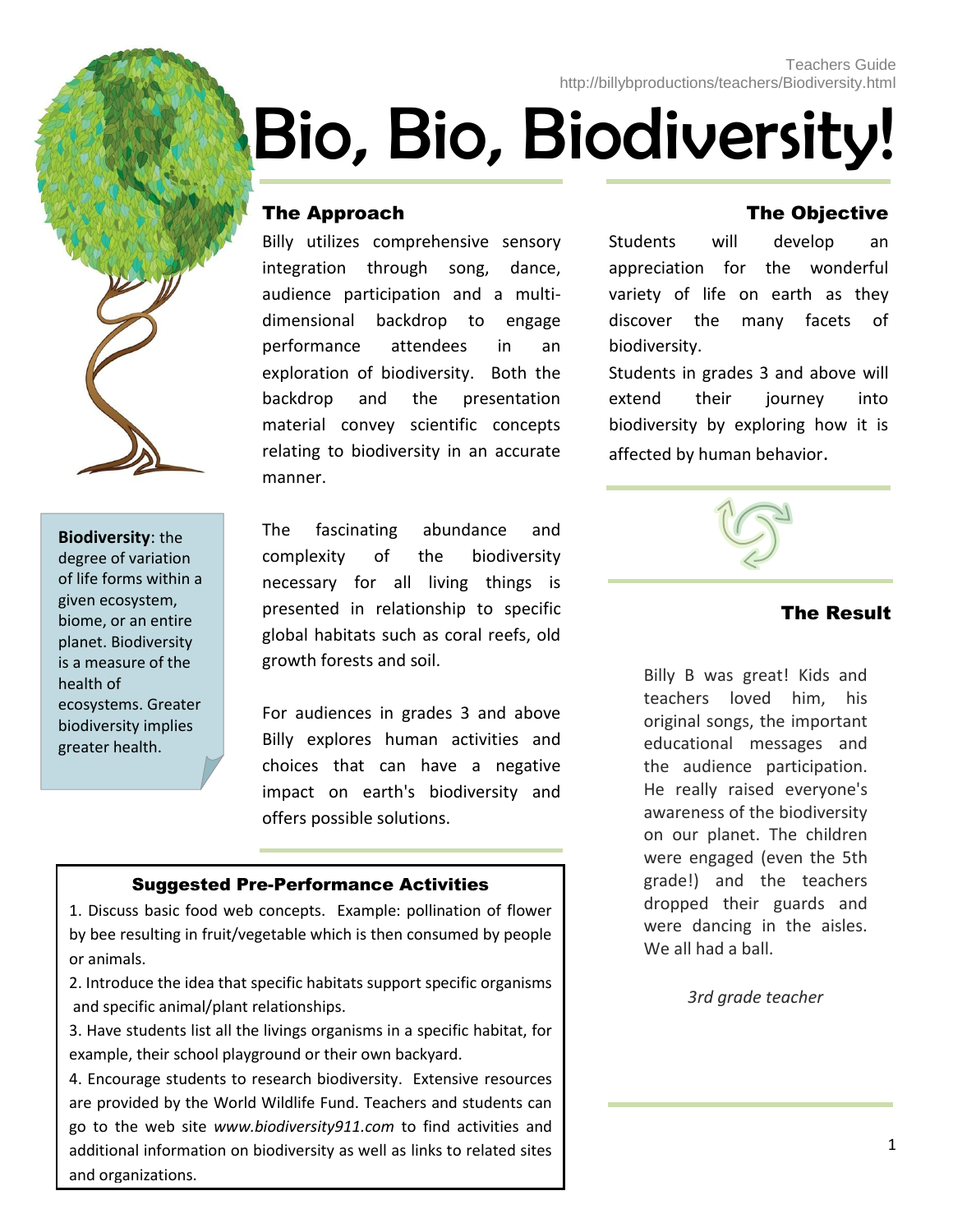# Bio, Bio, Biodiversity!

### The Approach

Billy utilizes comprehensive sensory integration through song, dance, audience participation and a multidimensional backdrop to engage performance attendees in an exploration of biodiversity. Both the backdrop and the presentation material convey scientific concepts relating to biodiversity in an accurate manner.

### **Biodiversity**: the degree of variation of [life](http://en.wikipedia.org/wiki/Life) forms within a given [ecosystem,](http://en.wikipedia.org/wiki/Ecosystem) [biome,](http://en.wikipedia.org/wiki/Biome) or an entire [planet.](http://en.wikipedia.org/wiki/Planet) Biodiversity is a measure of the health of [ecosystems.](http://en.wikipedia.org/wiki/Ecosystem) Greater biodiversity implies greater health.

The fascinating abundance and complexity of the biodiversity necessary for all living things is presented in relationship to specific global habitats such as coral reefs, old growth forests and soil.

For audiences in grades 3 and above Billy explores human activities and choices that can have a negative impact on earth's biodiversity and offers possible solutions.

#### Suggested Pre-Performance Activities

1. Discuss basic food web concepts. Example: pollination of flower by bee resulting in fruit/vegetable which is then consumed by people or animals.

2. Introduce the idea that specific habitats support specific organisms and specific animal/plant relationships.

3. Have students list all the livings organisms in a specific habitat, for example, their school playground or their own backyard.

4. Encourage students to research biodiversity. Extensive resources are provided by the World Wildlife Fund. Teachers and students can go to the web site *www.biodiversity911.com* to find activities and additional information on biodiversity as well as links to related sites and organizations.

### The Objective

Students will develop an appreciation for the wonderful variety of life on earth as they discover the many facets of biodiversity.

Students in grades 3 and above will extend their journey into biodiversity by exploring how it is affected by human behavior.



### The Result

Billy B was great! Kids and teachers loved him, his original songs, the important educational messages and the audience participation. He really raised everyone's awareness of the biodiversity on our planet. The children were engaged (even the 5th grade!) and the teachers dropped their guards and were dancing in the aisles. We all had a ball.

*3rd grade teacher*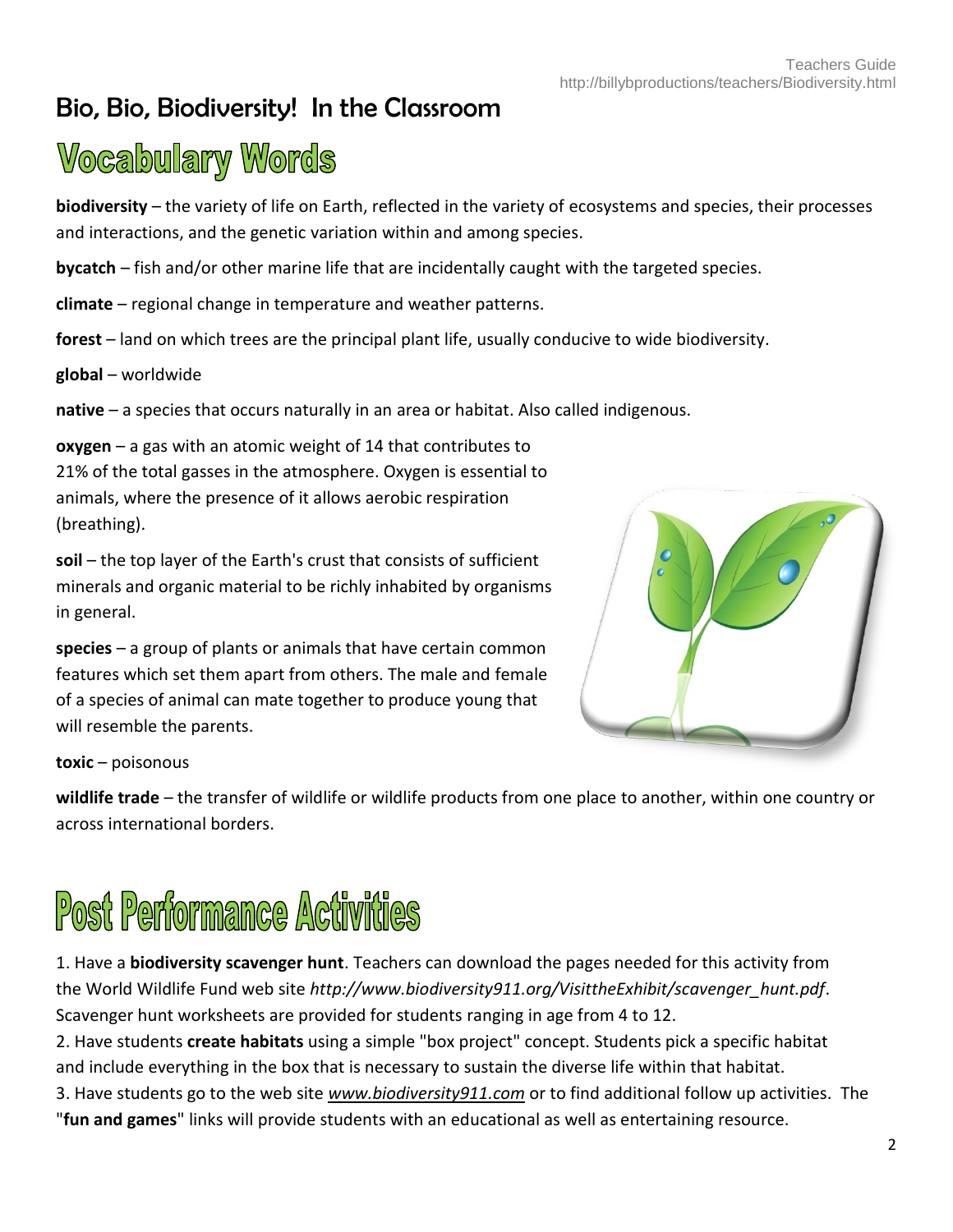### Bio, Bio, Biodiversity! In the Classroom

### **Vocabulary Words**

**biodiversity** – the variety of life on Earth, reflected in the variety of ecosystems and species, their processes and interactions, and the genetic variation within and among species.

**bycatch** – fish and/or other marine life that are incidentally caught with the targeted species.

**climate** – regional change in temperature and weather patterns.

**forest** – land on which trees are the principal plant life, usually conducive to wide biodiversity.

**global** – worldwide

**native** – a species that occurs naturally in an area or habitat. Also called indigenous.

**oxygen** – a gas with an atomic weight of 14 that contributes to 21% of the total gasses in the atmosphere. Oxygen is essential to animals, where the presence of it allows aerobic respiration (breathing).

**soil** – the top layer of the Earth's crust that consists of sufficient minerals and organic material to be richly inhabited by organisms in general.

**species** – a group of plants or animals that have certain common features which set them apart from others. The male and female of a species of animal can mate together to produce young that will resemble the parents.



**toxic** – poisonous

**wildlife trade** – the transfer of wildlife or wildlife products from one place to another, within one country or across international borders.

# **Post Performance Activities**

1. Have a **biodiversity scavenger hunt**. Teachers can download the pages needed for this activity from the World Wildlife Fund web site *http://www.biodiversity911.org/VisittheExhibit/scavenger\_hunt.pdf*. Scavenger hunt worksheets are provided for students ranging in age from 4 to 12.

2. Have students **create habitats** using a simple "box project" concept. Students pick a specific habitat and include everything in the box that is necessary to sustain the diverse life within that habitat.

3. Have students go to the web site *[www.biodiversity911.com](http://www.biodiversity911.com/)* or to find additional follow up activities. The "**fun and games**" links will provide students with an educational as well as entertaining resource.